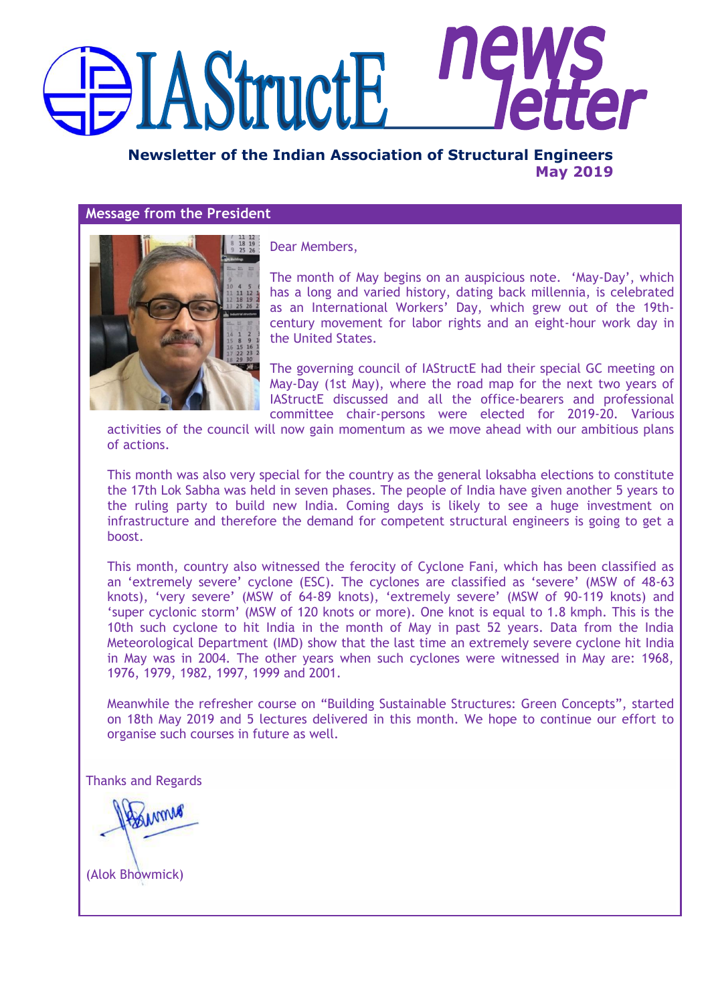# nę **EXAStructE**

**Newsletter of the Indian Association of Structural Engineers May 2019**

#### **Message from the President**



Dear Members,

The month of May begins on an auspicious note. "May-Day", which has a long and varied history, dating back millennia, is celebrated as an International Workers" Day, which grew out of the 19thcentury movement for labor rights and an eight-hour work day in the United States.

The governing council of IAStructE had their special GC meeting on May-Day (1st May), where the road map for the next two years of IAStructE discussed and all the office-bearers and professional committee chair-persons were elected for 2019-20. Various

activities of the council will now gain momentum as we move ahead with our ambitious plans of actions.

This month was also very special for the country as the general loksabha elections to constitute the 17th Lok Sabha was held in seven phases. The people of India have given another 5 years to the ruling party to build new India. Coming days is likely to see a huge investment on infrastructure and therefore the demand for competent structural engineers is going to get a boost.

This month, country also witnessed the ferocity of Cyclone Fani, which has been classified as an 'extremely severe' cyclone (ESC). The cyclones are classified as 'severe' (MSW of 48-63 knots), 'very severe' (MSW of 64-89 knots), 'extremely severe' (MSW of 90-119 knots) and "super cyclonic storm" (MSW of 120 knots or more). One knot is equal to 1.8 kmph. This is the 10th such cyclone to hit India in the month of May in past 52 years. Data from the India Meteorological Department (IMD) show that the last time an extremely severe cyclone hit India in May was in 2004. The other years when such cyclones were witnessed in May are: 1968, 1976, 1979, 1982, 1997, 1999 and 2001.

Meanwhile the refresher course on "Building Sustainable Structures: Green Concepts", started on 18th May 2019 and 5 lectures delivered in this month. We hope to continue our effort to organise such courses in future as well.

Thanks and Regards

MMM

(Alok Bhowmick)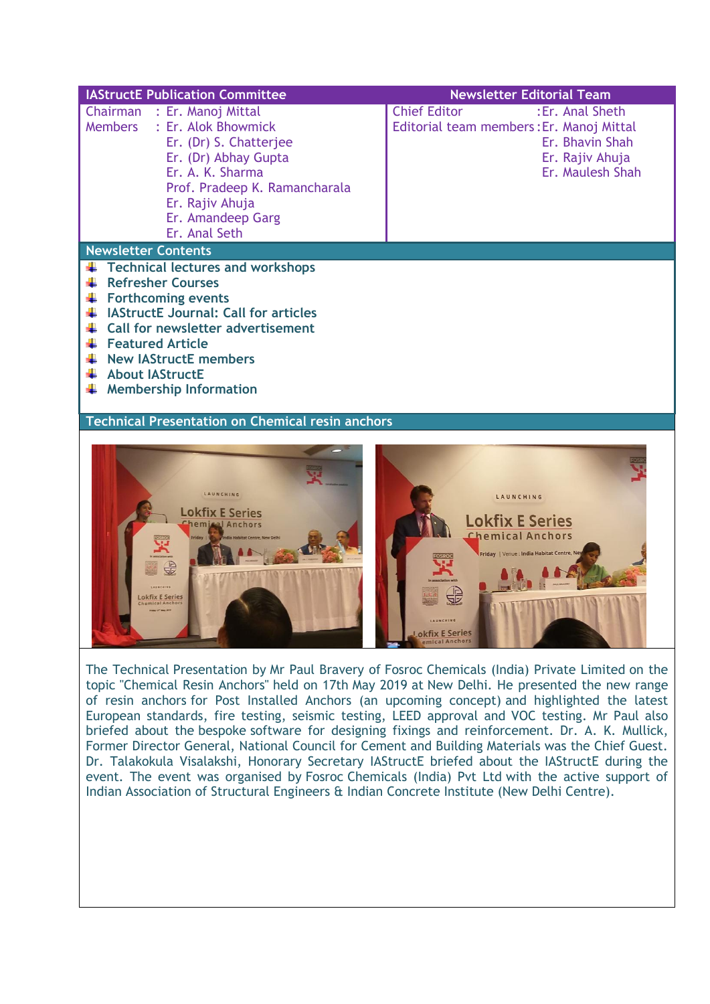| <b>IAStructE Publication Committee</b>                                                                                                                                                                                                                                                                                              | <b>Newsletter Editorial Team</b>                                                                                                             |
|-------------------------------------------------------------------------------------------------------------------------------------------------------------------------------------------------------------------------------------------------------------------------------------------------------------------------------------|----------------------------------------------------------------------------------------------------------------------------------------------|
| Chairman : Er. Manoj Mittal<br>: Er. Alok Bhowmick<br><b>Members</b><br>Er. (Dr) S. Chatterjee<br>Er. (Dr) Abhay Gupta<br>Er. A. K. Sharma<br>Prof. Pradeep K. Ramancharala<br>Er. Rajiv Ahuja<br>Er. Amandeep Garg<br>Er. Anal Seth                                                                                                | :Er. Anal Sheth<br><b>Chief Editor</b><br>Editorial team members: Er. Manoj Mittal<br>Er. Bhavin Shah<br>Er. Rajiv Ahuja<br>Er. Maulesh Shah |
| <b>Newsletter Contents</b>                                                                                                                                                                                                                                                                                                          |                                                                                                                                              |
| <b>Technical lectures and workshops</b><br><b>Refresher Courses</b><br><b>Forthcoming events</b><br><b>IAStructE Journal: Call for articles</b><br>÷<br>$\downarrow$ Call for newsletter advertisement<br>Featured Article<br>$\frac{1}{\sqrt{2}}$ New IAStructE members<br><b>About IAStructE</b><br><b>Membership Information</b> |                                                                                                                                              |
| <b>Technical Presentation on Chemical resin anchors</b>                                                                                                                                                                                                                                                                             |                                                                                                                                              |
| LAUNCHING<br><b>Lokfix E Series</b><br>hemical Anchors<br><b>Lokfix E Series</b><br>hemical Anchors                                                                                                                                                                                                                                 | LAUNCHING<br><b>Lokfix E Series</b><br><b>Chemical Anchors</b><br>Friday   Venue : India Habitat Centre, Ne<br><b>LAUNCHING</b>              |

The Technical Presentation by Mr Paul Bravery of Fosroc Chemicals (India) Private Limited on the topic "Chemical Resin Anchors" held on 17th May 2019 at New Delhi. He presented the new range of resin anchors for Post Installed Anchors (an upcoming concept) and highlighted the latest European standards, fire testing, seismic testing, LEED approval and VOC testing. Mr Paul also briefed about the bespoke software for designing fixings and reinforcement. Dr. A. K. Mullick, Former Director General, National Council for Cement and Building Materials was the Chief Guest. Dr. Talakokula Visalakshi, Honorary Secretary IAStructE briefed about the IAStructE during the event. The event was organised by Fosroc Chemicals (India) Pvt Ltd with the active support of Indian Association of Structural Engineers & Indian Concrete Institute (New Delhi Centre).

Lokfix E Series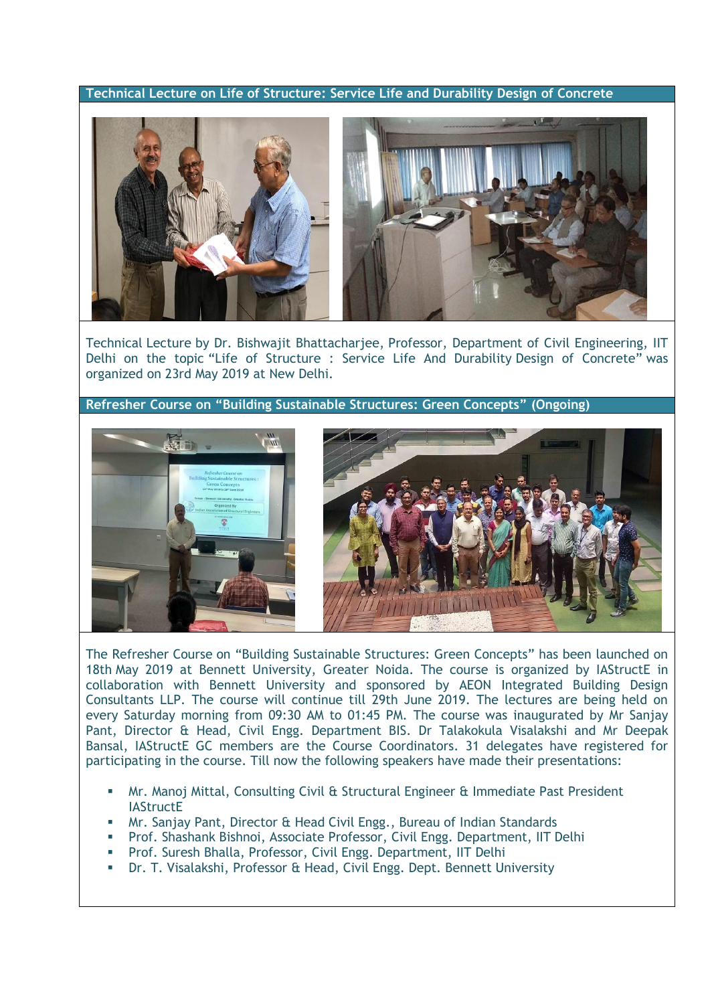**Technical Lecture on Life of Structure: Service Life and Durability Design of Concrete**



Technical Lecture by Dr. Bishwajit Bhattacharjee, Professor, Department of Civil Engineering, IIT Delhi on the topic "Life of Structure : Service Life And Durability Design of Concrete" was organized on 23rd May 2019 at New Delhi.

**Refresher Course on "Building Sustainable Structures: Green Concepts" (Ongoing)**





The Refresher Course on "Building Sustainable Structures: Green Concepts" has been launched on 18th May 2019 at Bennett University, Greater Noida. The course is organized by IAStructE in collaboration with Bennett University and sponsored by AEON Integrated Building Design Consultants LLP. The course will continue till 29th June 2019. The lectures are being held on every Saturday morning from 09:30 AM to 01:45 PM. The course was inaugurated by Mr Sanjay Pant, Director & Head, Civil Engg. Department BIS. Dr Talakokula Visalakshi and Mr Deepak Bansal, IAStructE GC members are the Course Coordinators. 31 delegates have registered for participating in the course. Till now the following speakers have made their presentations:

- Mr. Manoj Mittal, Consulting Civil & Structural Engineer & Immediate Past President **IAStructE**
- **Mr. Sanjay Pant, Director & Head Civil Engg., Bureau of Indian Standards**
- Prof. Shashank Bishnoi, Associate Professor, Civil Engg. Department, IIT Delhi
- **Prof. Suresh Bhalla, Professor, Civil Engg. Department, IIT Delhi**
- Dr. T. Visalakshi, Professor & Head, Civil Engg. Dept. Bennett University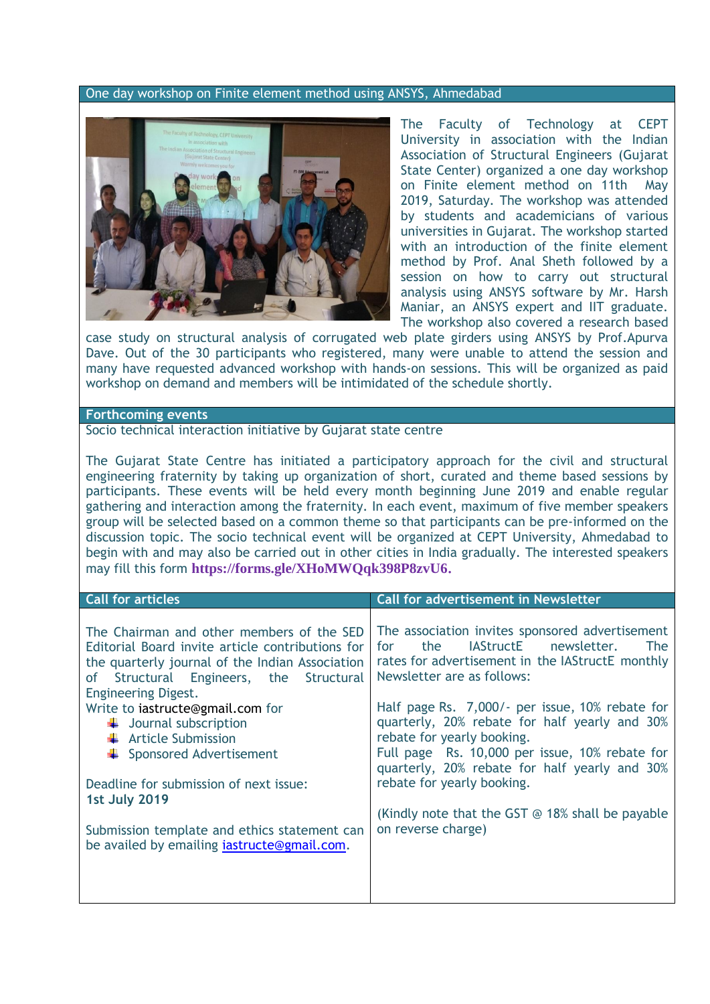#### One day workshop on Finite element method using ANSYS, Ahmedabad



The Faculty of Technology at CEPT University in association with the Indian Association of Structural Engineers (Gujarat State Center) organized a one day workshop on Finite element method on 11th May 2019, Saturday. The workshop was attended by students and academicians of various universities in Gujarat. The workshop started with an introduction of the finite element method by Prof. Anal Sheth followed by a session on how to carry out structural analysis using ANSYS software by Mr. Harsh Maniar, an ANSYS expert and IIT graduate. The workshop also covered a research based

case study on structural analysis of corrugated web plate girders using ANSYS by Prof.Apurva Dave. Out of the 30 participants who registered, many were unable to attend the session and many have requested advanced workshop with hands-on sessions. This will be organized as paid workshop on demand and members will be intimidated of the schedule shortly.

#### **Forthcoming events**

Socio technical interaction initiative by Gujarat state centre

The Gujarat State Centre has initiated a participatory approach for the civil and structural engineering fraternity by taking up organization of short, curated and theme based sessions by participants. These events will be held every month beginning June 2019 and enable regular gathering and interaction among the fraternity. In each event, maximum of five member speakers group will be selected based on a common theme so that participants can be pre-informed on the discussion topic. The socio technical event will be organized at CEPT University, Ahmedabad to begin with and may also be carried out in other cities in India gradually. The interested speakers may fill this form **<https://forms.gle/XHoMWQqk398P8zvU6>.**

| <b>Call for articles</b>                                                                                                                                                                                                     | <b>Call for advertisement in Newsletter</b>                                                                                                                                                                                       |
|------------------------------------------------------------------------------------------------------------------------------------------------------------------------------------------------------------------------------|-----------------------------------------------------------------------------------------------------------------------------------------------------------------------------------------------------------------------------------|
| The Chairman and other members of the SED<br>Editorial Board invite article contributions for<br>the quarterly journal of the Indian Association<br>Structural Engineers, the Structural<br>0f<br><b>Engineering Digest.</b> | The association invites sponsored advertisement<br>IAStructE newsletter.<br>the.<br>for<br>The<br>rates for advertisement in the IAStructE monthly<br>Newsletter are as follows:                                                  |
| Write to iastructe@gmail.com for<br>$\downarrow$ Journal subscription<br>$\leftarrow$ Article Submission<br>Sponsored Advertisement                                                                                          | Half page Rs. 7,000/- per issue, 10% rebate for<br>quarterly, 20% rebate for half yearly and 30%<br>rebate for yearly booking.<br>Full page Rs. 10,000 per issue, 10% rebate for<br>quarterly, 20% rebate for half yearly and 30% |
| Deadline for submission of next issue:<br><b>1st July 2019</b>                                                                                                                                                               | rebate for yearly booking.<br>(Kindly note that the GST $\odot$ 18% shall be payable                                                                                                                                              |
| Submission template and ethics statement can<br>be availed by emailing <i>iastructe</i> @gmail.com.                                                                                                                          | on reverse charge)                                                                                                                                                                                                                |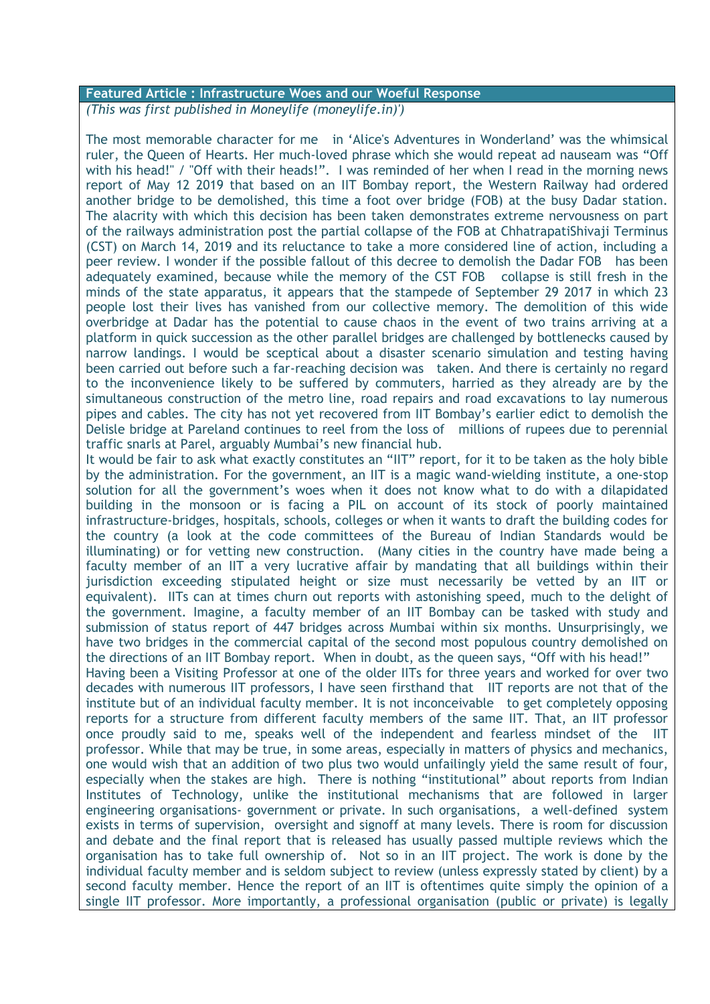#### **Featured Article : Infrastructure Woes and our Woeful Response**

*(This was first published in Moneylife [\(moneylife.in\)](http://moneylife.in/)')*

The most memorable character for me in "Alice's Adventures in Wonderland" was the whimsical ruler, the Queen of Hearts. Her much-loved phrase which she would repeat ad nauseam was "Off with his head!" / "Off with their heads!". I was reminded of her when I read in the morning news report of May 12 2019 that based on an IIT Bombay report, the Western Railway had ordered another bridge to be demolished, this time a foot over bridge (FOB) at the busy Dadar station. The alacrity with which this decision has been taken demonstrates extreme nervousness on part of the railways administration post the partial collapse of the FOB at ChhatrapatiShivaji Terminus (CST) on March 14, 2019 and its reluctance to take a more considered line of action, including a peer review. I wonder if the possible fallout of this decree to demolish the Dadar FOB has been adequately examined, because while the memory of the CST FOB collapse is still fresh in the minds of the state apparatus, it appears that the stampede of September 29 2017 in which 23 people lost their lives has vanished from our collective memory. The demolition of this wide overbridge at Dadar has the potential to cause chaos in the event of two trains arriving at a platform in quick succession as the other parallel bridges are challenged by bottlenecks caused by narrow landings. I would be sceptical about a disaster scenario simulation and testing having been carried out before such a far-reaching decision was taken. And there is certainly no regard to the inconvenience likely to be suffered by commuters, harried as they already are by the simultaneous construction of the metro line, road repairs and road excavations to lay numerous pipes and cables. The city has not yet recovered from IIT Bombay"s earlier edict to demolish the Delisle bridge at Pareland continues to reel from the loss of millions of rupees due to perennial traffic snarls at Parel, arguably Mumbai"s new financial hub.

It would be fair to ask what exactly constitutes an "IIT" report, for it to be taken as the holy bible by the administration. For the government, an IIT is a magic wand-wielding institute, a one-stop solution for all the government's woes when it does not know what to do with a dilapidated building in the monsoon or is facing a PIL on account of its stock of poorly maintained infrastructure-bridges, hospitals, schools, colleges or when it wants to draft the building codes for the country (a look at the code committees of the Bureau of Indian Standards would be illuminating) or for vetting new construction. (Many cities in the country have made being a faculty member of an IIT a very lucrative affair by mandating that all buildings within their iurisdiction exceeding stipulated height or size must necessarily be vetted by an IIT or equivalent). IITs can at times churn out reports with astonishing speed, much to the delight of the government. Imagine, a faculty member of an IIT Bombay can be tasked with study and submission of status report of 447 bridges across Mumbai within six months. Unsurprisingly, we have two bridges in the commercial capital of the second most populous country demolished on the directions of an IIT Bombay report. When in doubt, as the queen says, "Off with his head!"

Having been a Visiting Professor at one of the older IITs for three years and worked for over two decades with numerous IIT professors, I have seen firsthand that IIT reports are not that of the institute but of an individual faculty member. It is not inconceivable to get completely opposing reports for a structure from different faculty members of the same IIT. That, an IIT professor once proudly said to me, speaks well of the independent and fearless mindset of the IIT professor. While that may be true, in some areas, especially in matters of physics and mechanics, one would wish that an addition of two plus two would unfailingly yield the same result of four, especially when the stakes are high. There is nothing "institutional" about reports from Indian Institutes of Technology, unlike the institutional mechanisms that are followed in larger engineering organisations- government or private. In such organisations, a well-defined system exists in terms of supervision, oversight and signoff at many levels. There is room for discussion and debate and the final report that is released has usually passed multiple reviews which the organisation has to take full ownership of. Not so in an IIT project. The work is done by the individual faculty member and is seldom subject to review (unless expressly stated by client) by a second faculty member. Hence the report of an IIT is oftentimes quite simply the opinion of a single IIT professor. More importantly, a professional organisation (public or private) is legally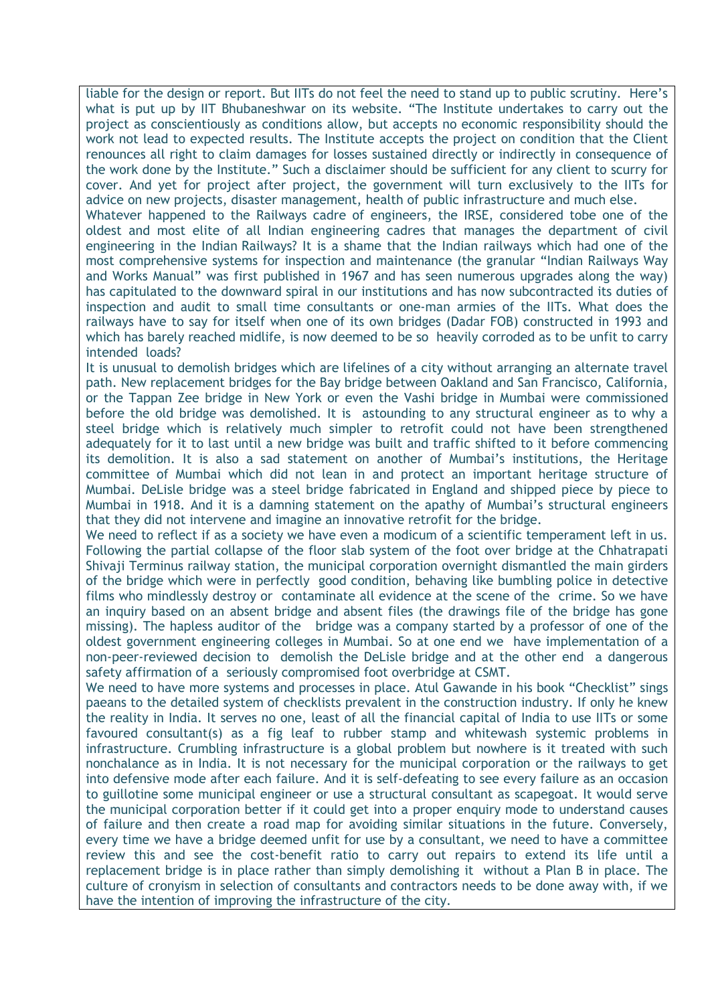liable for the design or report. But IITs do not feel the need to stand up to public scrutiny. Here's what is put up by IIT Bhubaneshwar on its website. "The Institute undertakes to carry out the project as conscientiously as conditions allow, but accepts no economic responsibility should the work not lead to expected results. The Institute accepts the project on condition that the Client renounces all right to claim damages for losses sustained directly or indirectly in consequence of the work done by the Institute." Such a disclaimer should be sufficient for any client to scurry for cover. And yet for project after project, the government will turn exclusively to the IITs for advice on new projects, disaster management, health of public infrastructure and much else.

Whatever happened to the Railways cadre of engineers, the IRSE, considered tobe one of the oldest and most elite of all Indian engineering cadres that manages the department of civil engineering in the Indian Railways? It is a shame that the Indian railways which had one of the most comprehensive systems for inspection and maintenance (the granular "Indian Railways Way and Works Manual" was first published in 1967 and has seen numerous upgrades along the way) has capitulated to the downward spiral in our institutions and has now subcontracted its duties of inspection and audit to small time consultants or one-man armies of the IITs. What does the railways have to say for itself when one of its own bridges (Dadar FOB) constructed in 1993 and which has barely reached midlife, is now deemed to be so heavily corroded as to be unfit to carry intended loads?

It is unusual to demolish bridges which are lifelines of a city without arranging an alternate travel path. New replacement bridges for the Bay bridge between Oakland and San Francisco, California, or the Tappan Zee bridge in New York or even the Vashi bridge in Mumbai were commissioned before the old bridge was demolished. It is astounding to any structural engineer as to why a steel bridge which is relatively much simpler to retrofit could not have been strengthened adequately for it to last until a new bridge was built and traffic shifted to it before commencing its demolition. It is also a sad statement on another of Mumbai's institutions, the Heritage committee of Mumbai which did not lean in and protect an important heritage structure of Mumbai. DeLisle bridge was a steel bridge fabricated in England and shipped piece by piece to Mumbai in 1918. And it is a damning statement on the apathy of Mumbai"s structural engineers that they did not intervene and imagine an innovative retrofit for the bridge.

We need to reflect if as a society we have even a modicum of a scientific temperament left in us. Following the partial collapse of the floor slab system of the foot over bridge at the Chhatrapati Shivaji Terminus railway station, the municipal corporation overnight dismantled the main girders of the bridge which were in perfectly good condition, behaving like bumbling police in detective films who mindlessly destroy or contaminate all evidence at the scene of the crime. So we have an inquiry based on an absent bridge and absent files (the drawings file of the bridge has gone missing). The hapless auditor of the bridge was a company started by a professor of one of the oldest government engineering colleges in Mumbai. So at one end we have implementation of a non-peer-reviewed decision to demolish the DeLisle bridge and at the other end a dangerous safety affirmation of a seriously compromised foot overbridge at CSMT.

We need to have more systems and processes in place. Atul Gawande in his book "Checklist" sings paeans to the detailed system of checklists prevalent in the construction industry. If only he knew the reality in India. It serves no one, least of all the financial capital of India to use IITs or some favoured consultant(s) as a fig leaf to rubber stamp and whitewash systemic problems in infrastructure. Crumbling infrastructure is a global problem but nowhere is it treated with such nonchalance as in India. It is not necessary for the municipal corporation or the railways to get into defensive mode after each failure. And it is self-defeating to see every failure as an occasion to guillotine some municipal engineer or use a structural consultant as scapegoat. It would serve the municipal corporation better if it could get into a proper enquiry mode to understand causes of failure and then create a road map for avoiding similar situations in the future. Conversely, every time we have a bridge deemed unfit for use by a consultant, we need to have a committee review this and see the cost-benefit ratio to carry out repairs to extend its life until a replacement bridge is in place rather than simply demolishing it without a Plan B in place. The culture of cronyism in selection of consultants and contractors needs to be done away with, if we have the intention of improving the infrastructure of the city.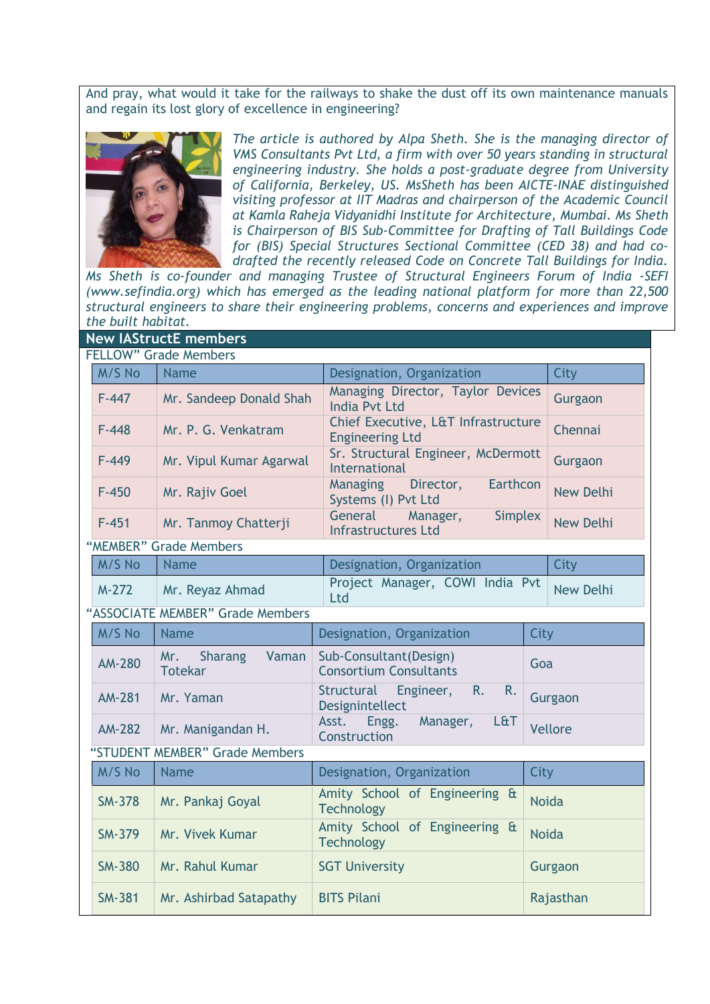And pray, what would it take for the railways to shake the dust off its own maintenance manuals and regain its lost glory of excellence in engineering?



*The article is authored by Alpa Sheth. She is the managing director of VMS Consultants Pvt Ltd, a firm with over 50 years standing in structural engineering industry. She holds a post-graduate degree from University of California, Berkeley, US. MsSheth has been AICTE-INAE distinguished visiting professor at IIT Madras and chairperson of the Academic Council at Kamla Raheja Vidyanidhi Institute for Architecture, Mumbai. Ms Sheth is Chairperson of BIS Sub-Committee for Drafting of Tall Buildings Code for (BIS) Special Structures Sectional Committee (CED 38) and had codrafted the recently released Code on Concrete Tall Buildings for India.* 

*Ms Sheth is co-founder and managing Trustee of Structural Engineers Forum of India -SEFI [\(www.sefindia.org\)](http://www.sefindia.org/) which has emerged as the leading national platform for more than 22,500 structural engineers to share their engineering problems, concerns and experiences and improve the built habitat.* 

| <b>New IAStructE members</b> |                                  |                                |                                                                     |                  |  |  |
|------------------------------|----------------------------------|--------------------------------|---------------------------------------------------------------------|------------------|--|--|
| <b>FELLOW" Grade Members</b> |                                  |                                |                                                                     |                  |  |  |
|                              | M/S No                           | <b>Name</b>                    | Designation, Organization                                           | City             |  |  |
|                              | $F-447$                          | Mr. Sandeep Donald Shah        | Managing Director, Taylor Devices<br><b>India Pvt Ltd</b>           | Gurgaon          |  |  |
|                              | $F - 448$                        | Mr. P. G. Venkatram            | Chief Executive, L&T Infrastructure<br><b>Engineering Ltd</b>       | Chennai          |  |  |
|                              | $F - 449$                        | Mr. Vipul Kumar Agarwal        | Sr. Structural Engineer, McDermott<br><b>International</b>          | Gurgaon          |  |  |
|                              | $F-450$                          | Mr. Rajiv Goel                 | Earthcon<br><b>Managing</b><br>Director,<br>Systems (I) Pvt Ltd     | <b>New Delhi</b> |  |  |
|                              | $F-451$                          | Mr. Tanmoy Chatterji           | General<br><b>Simplex</b><br>Manager,<br><b>Infrastructures Ltd</b> | <b>New Delhi</b> |  |  |
|                              |                                  | "MEMBER" Grade Members         |                                                                     |                  |  |  |
|                              | M/S No                           | <b>Name</b>                    | Designation, Organization                                           | City             |  |  |
|                              | $M-272$                          | Mr. Reyaz Ahmad                | Project Manager, COWI India Pvt<br>Ltd                              | <b>New Delhi</b> |  |  |
|                              | "ASSOCIATE MEMBER" Grade Members |                                |                                                                     |                  |  |  |
|                              | M/S No                           | <b>Name</b>                    | Designation, Organization                                           | City             |  |  |
|                              | <b>AM-280</b>                    | Mr.<br><b>Sharang</b><br>Vaman | Sub-Consultant(Design)                                              |                  |  |  |
|                              |                                  | <b>Totekar</b>                 | <b>Consortium Consultants</b>                                       | Goa              |  |  |
|                              | <b>AM-281</b>                    | Mr. Yaman                      | Structural Engineer,<br>R.<br>R.<br>Designintellect                 | Gurgaon          |  |  |
|                              | <b>AM-282</b>                    | Mr. Manigandan H.              | Asst.<br>Engg.<br>Manager,<br><b>L&amp;T</b><br>Construction        | <b>Vellore</b>   |  |  |
|                              |                                  | "STUDENT MEMBER" Grade Members |                                                                     |                  |  |  |
|                              | M/S No                           | <b>Name</b>                    | Designation, Organization                                           | City             |  |  |
|                              | <b>SM-378</b>                    | Mr. Pankaj Goyal               | Amity School of Engineering &<br><b>Technology</b>                  | <b>Noida</b>     |  |  |
|                              | <b>SM-379</b>                    | Mr. Vivek Kumar                | Amity School of Engineering &<br><b>Technology</b>                  | <b>Noida</b>     |  |  |
|                              | <b>SM-380</b>                    | Mr. Rahul Kumar                | <b>SGT University</b>                                               | Gurgaon          |  |  |